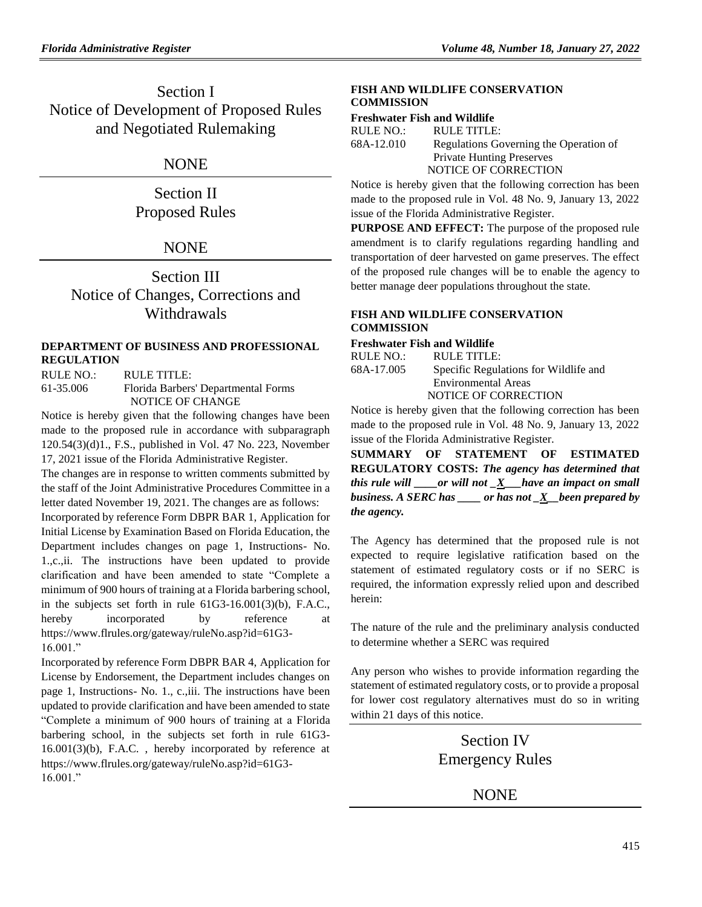Section I Notice of Development of Proposed Rules and Negotiated Rulemaking

## NONE

Section II Proposed Rules

## **NONE**

Section III Notice of Changes, Corrections and Withdrawals

#### **[DEPARTMENT OF BUSINESS AND PROFESSIONAL](https://www.flrules.org/gateway/department.asp?id=61)  [REGULATION](https://www.flrules.org/gateway/department.asp?id=61)**

RULE NO.: RULE TITLE: [61-35.006](https://www.flrules.org/gateway/ruleNo.asp?id=61-35.006) Florida Barbers' Departmental Forms NOTICE OF CHANGE

Notice is hereby given that the following changes have been made to the proposed rule in accordance with subparagraph 120.54(3)(d)1., F.S., published in Vol. 47 No. 223, November 17, 2021 issue of the Florida Administrative Register.

The changes are in response to written comments submitted by the staff of the Joint Administrative Procedures Committee in a letter dated November 19, 2021. The changes are as follows: Incorporated by reference Form DBPR BAR 1, Application for Initial License by Examination Based on Florida Education, the Department includes changes on page 1, Instructions- No. 1.,c.,ii. The instructions have been updated to provide clarification and have been amended to state "Complete a minimum of 900 hours of training at a Florida barbering school, in the subjects set forth in rule 61G3-16.001(3)(b), F.A.C., hereby incorporated by reference at https://www.flrules.org/gateway/ruleNo.asp?id=61G3- 16.001."

Incorporated by reference Form DBPR BAR 4, Application for License by Endorsement, the Department includes changes on page 1, Instructions- No. 1., c.,iii. The instructions have been updated to provide clarification and have been amended to state "Complete a minimum of 900 hours of training at a Florida barbering school, in the subjects set forth in rule 61G3- 16.001(3)(b), F.A.C. , hereby incorporated by reference at https://www.flrules.org/gateway/ruleNo.asp?id=61G3-  $16.001."$ 

### **[FISH AND WILDLIFE CONSERVATION](https://www.flrules.org/gateway/department.asp?id=68)  [COMMISSION](https://www.flrules.org/gateway/department.asp?id=68)**

#### **[Freshwater Fish and Wildlife](https://www.flrules.org/gateway/organization.asp?id=347)**

| Regulations Governing the Operation of |
|----------------------------------------|
|                                        |
|                                        |
|                                        |

Notice is hereby given that the following correction has been made to the proposed rule in Vol. 48 No. 9, January 13, 2022 issue of the Florida Administrative Register.

**PURPOSE AND EFFECT:** The purpose of the proposed rule amendment is to clarify regulations regarding handling and transportation of deer harvested on game preserves. The effect of the proposed rule changes will be to enable the agency to better manage deer populations throughout the state.

#### **[FISH AND WILDLIFE CONSERVATION](https://www.flrules.org/gateway/department.asp?id=68)  [COMMISSION](https://www.flrules.org/gateway/department.asp?id=68)**

#### **[Freshwater Fish and Wildlife](https://www.flrules.org/gateway/organization.asp?id=347)**

| RULE NO.:  | RULE TITLE:                           |
|------------|---------------------------------------|
| 68A-17.005 | Specific Regulations for Wildlife and |
|            | <b>Environmental Areas</b>            |
|            | NOTICE OF CORRECTION                  |

Notice is hereby given that the following correction has been made to the proposed rule in Vol. 48 No. 9, January 13, 2022 issue of the Florida Administrative Register.

**SUMMARY OF STATEMENT OF ESTIMATED REGULATORY COSTS:** *The agency has determined that this rule will \_\_\_\_or will not \_X\_\_\_have an impact on small business. A SERC has \_\_\_\_ or has not \_X\_\_been prepared by the agency.*

The Agency has determined that the proposed rule is not expected to require legislative ratification based on the statement of estimated regulatory costs or if no SERC is required, the information expressly relied upon and described herein:

The nature of the rule and the preliminary analysis conducted to determine whether a SERC was required

Any person who wishes to provide information regarding the statement of estimated regulatory costs, or to provide a proposal for lower cost regulatory alternatives must do so in writing within 21 days of this notice.

> Section IV Emergency Rules

> > NONE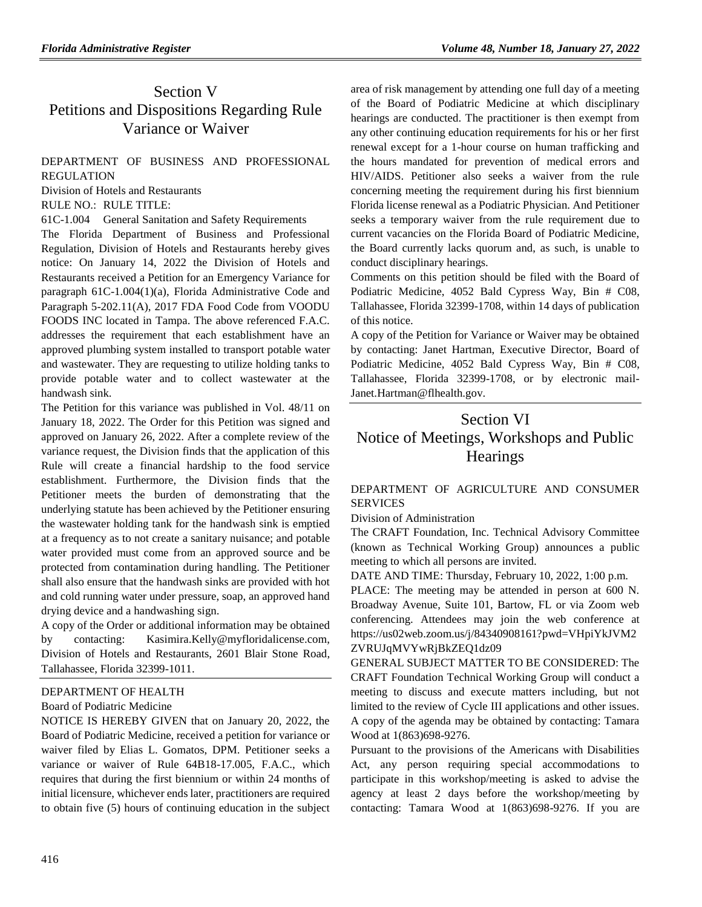# Section V Petitions and Dispositions Regarding Rule Variance or Waiver

## [DEPARTMENT OF BUSINESS AND PROFESSIONAL](https://www.flrules.org/gateway/department.asp?id=61)  [REGULATION](https://www.flrules.org/gateway/department.asp?id=61)

[Division of Hotels and Restaurants](https://www.flrules.org/gateway/organization.asp?id=249)

RULE NO.: RULE TITLE:

[61C-1.004](https://www.flrules.org/gateway/ruleNo.asp?id=61C-1.004) General Sanitation and Safety Requirements

The Florida Department of Business and Professional Regulation, Division of Hotels and Restaurants hereby gives notice: On January 14, 2022 the Division of Hotels and Restaurants received a Petition for an Emergency Variance for paragraph 61C-1.004(1)(a), Florida Administrative Code and Paragraph 5-202.11(A), 2017 FDA Food Code from VOODU FOODS INC located in Tampa. The above referenced F.A.C. addresses the requirement that each establishment have an approved plumbing system installed to transport potable water and wastewater. They are requesting to utilize holding tanks to provide potable water and to collect wastewater at the handwash sink.

The Petition for this variance was published in Vol. 48/11 on January 18, 2022. The Order for this Petition was signed and approved on January 26, 2022. After a complete review of the variance request, the Division finds that the application of this Rule will create a financial hardship to the food service establishment. Furthermore, the Division finds that the Petitioner meets the burden of demonstrating that the underlying statute has been achieved by the Petitioner ensuring the wastewater holding tank for the handwash sink is emptied at a frequency as to not create a sanitary nuisance; and potable water provided must come from an approved source and be protected from contamination during handling. The Petitioner shall also ensure that the handwash sinks are provided with hot and cold running water under pressure, soap, an approved hand drying device and a handwashing sign.

A copy of the Order or additional information may be obtained by contacting: Kasimira.Kelly@myfloridalicense.com, Division of Hotels and Restaurants, 2601 Blair Stone Road, Tallahassee, Florida 32399-1011.

#### [DEPARTMENT OF HEALTH](https://www.flrules.org/gateway/department.asp?id=64)

#### [Board of Podiatric Medicine](https://www.flrules.org/gateway/organization.asp?id=309)

NOTICE IS HEREBY GIVEN that on January 20, 2022, the Board of Podiatric Medicine, received a petition for variance or waiver filed by Elias L. Gomatos, DPM. Petitioner seeks a variance or waiver of Rule 64B18-17.005, F.A.C., which requires that during the first biennium or within 24 months of initial licensure, whichever ends later, practitioners are required to obtain five (5) hours of continuing education in the subject

area of risk management by attending one full day of a meeting of the Board of Podiatric Medicine at which disciplinary hearings are conducted. The practitioner is then exempt from any other continuing education requirements for his or her first renewal except for a 1-hour course on human trafficking and the hours mandated for prevention of medical errors and HIV/AIDS. Petitioner also seeks a waiver from the rule concerning meeting the requirement during his first biennium Florida license renewal as a Podiatric Physician. And Petitioner seeks a temporary waiver from the rule requirement due to current vacancies on the Florida Board of Podiatric Medicine, the Board currently lacks quorum and, as such, is unable to conduct disciplinary hearings.

Comments on this petition should be filed with the Board of Podiatric Medicine, 4052 Bald Cypress Way, Bin # C08, Tallahassee, Florida 32399-1708, within 14 days of publication of this notice.

A copy of the Petition for Variance or Waiver may be obtained by contacting: Janet Hartman, Executive Director, Board of Podiatric Medicine, 4052 Bald Cypress Way, Bin # C08, Tallahassee, Florida 32399-1708, or by electronic mail-Janet.Hartman@flhealth.gov.

# Section VI Notice of Meetings, Workshops and Public **Hearings**

### [DEPARTMENT OF AGRICULTURE AND CONSUMER](https://www.flrules.org/gateway/department.asp?id=5)  [SERVICES](https://www.flrules.org/gateway/department.asp?id=5)

[Division of Administration](https://www.flrules.org/gateway/organization.asp?id=161)

The CRAFT Foundation, Inc. Technical Advisory Committee (known as Technical Working Group) announces a public meeting to which all persons are invited.

DATE AND TIME: Thursday, February 10, 2022, 1:00 p.m.

PLACE: The meeting may be attended in person at 600 N. Broadway Avenue, Suite 101, Bartow, FL or via Zoom web conferencing. Attendees may join the web conference at https://us02web.zoom.us/j/84340908161?pwd=VHpiYkJVM2 ZVRUJqMVYwRjBkZEQ1dz09

GENERAL SUBJECT MATTER TO BE CONSIDERED: The CRAFT Foundation Technical Working Group will conduct a meeting to discuss and execute matters including, but not limited to the review of Cycle III applications and other issues. A copy of the agenda may be obtained by contacting: Tamara Wood at 1(863)698-9276.

Pursuant to the provisions of the Americans with Disabilities Act, any person requiring special accommodations to participate in this workshop/meeting is asked to advise the agency at least 2 days before the workshop/meeting by contacting: Tamara Wood at 1(863)698-9276. If you are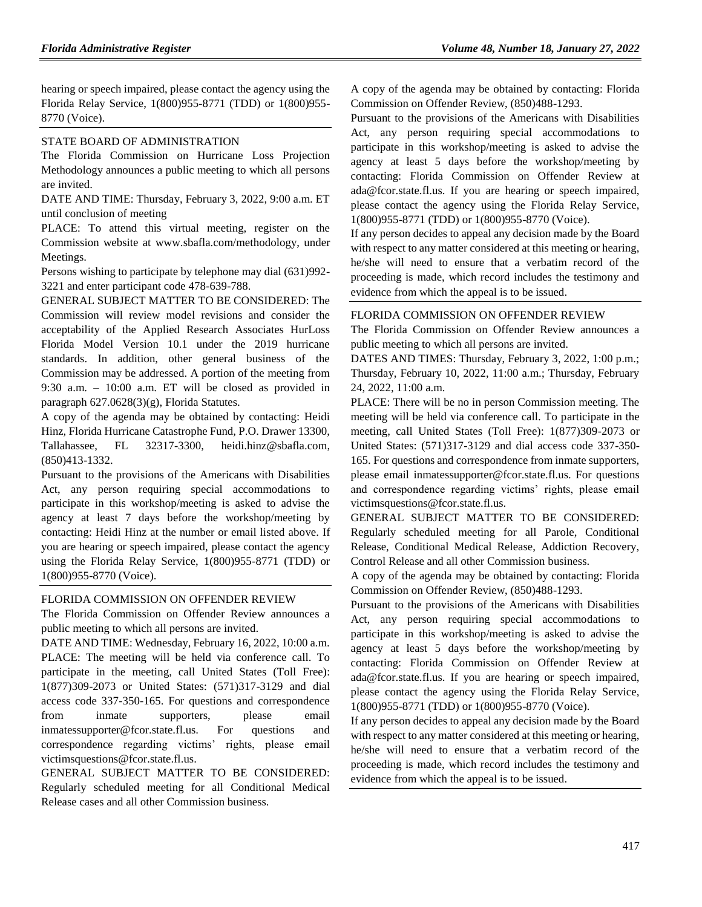hearing or speech impaired, please contact the agency using the Florida Relay Service, 1(800)955-8771 (TDD) or 1(800)955- 8770 (Voice).

### [STATE BOARD OF ADMINISTRATION](https://www.flrules.org/gateway/department.asp?id=19)

The Florida Commission on Hurricane Loss Projection Methodology announces a public meeting to which all persons are invited.

DATE AND TIME: Thursday, February 3, 2022, 9:00 a.m. ET until conclusion of meeting

PLACE: To attend this virtual meeting, register on the Commission website at [www.sbafla.com/methodology,](http://www.sbafla.com/methodology) under Meetings.

Persons wishing to participate by telephone may dial (631)992- 3221 and enter participant code 478-639-788.

GENERAL SUBJECT MATTER TO BE CONSIDERED: The Commission will review model revisions and consider the acceptability of the Applied Research Associates HurLoss Florida Model Version 10.1 under the 2019 hurricane standards. In addition, other general business of the Commission may be addressed. A portion of the meeting from 9:30 a.m. – 10:00 a.m. ET will be closed as provided in paragraph 627.0628(3)(g), Florida Statutes.

A copy of the agenda may be obtained by contacting: Heidi Hinz, Florida Hurricane Catastrophe Fund, P.O. Drawer 13300, Tallahassee, FL 32317-3300, heidi.hinz@sbafla.com, (850)413-1332.

Pursuant to the provisions of the Americans with Disabilities Act, any person requiring special accommodations to participate in this workshop/meeting is asked to advise the agency at least 7 days before the workshop/meeting by contacting: Heidi Hinz at the number or email listed above. If you are hearing or speech impaired, please contact the agency using the Florida Relay Service, 1(800)955-8771 (TDD) or 1(800)955-8770 (Voice).

#### [FLORIDA COMMISSION ON](https://www.flrules.org/gateway/department.asp?id=23) OFFENDER REVIEW

The Florida Commission on Offender Review announces a public meeting to which all persons are invited.

DATE AND TIME: Wednesday, February 16, 2022, 10:00 a.m. PLACE: The meeting will be held via conference call. To participate in the meeting, call United States (Toll Free): 1(877)309-2073 or United States: (571)317-3129 and dial access code 337-350-165. For questions and correspondence from inmate supporters, please email inmatessupporter@fcor.state.fl.us. For questions and correspondence regarding victims' rights, please email victimsquestions@fcor.state.fl.us.

GENERAL SUBJECT MATTER TO BE CONSIDERED: Regularly scheduled meeting for all Conditional Medical Release cases and all other Commission business.

A copy of the agenda may be obtained by contacting: Florida Commission on Offender Review, (850)488-1293.

Pursuant to the provisions of the Americans with Disabilities Act, any person requiring special accommodations to participate in this workshop/meeting is asked to advise the agency at least 5 days before the workshop/meeting by contacting: Florida Commission on Offender Review at ada@fcor.state.fl.us. If you are hearing or speech impaired, please contact the agency using the Florida Relay Service, 1(800)955-8771 (TDD) or 1(800)955-8770 (Voice).

If any person decides to appeal any decision made by the Board with respect to any matter considered at this meeting or hearing, he/she will need to ensure that a verbatim record of the proceeding is made, which record includes the testimony and evidence from which the appeal is to be issued.

#### [FLORIDA COMMISSION ON OFFENDER REVIEW](https://www.flrules.org/gateway/department.asp?id=23)

The Florida Commission on Offender Review announces a public meeting to which all persons are invited.

DATES AND TIMES: Thursday, February 3, 2022, 1:00 p.m.; Thursday, February 10, 2022, 11:00 a.m.; Thursday, February 24, 2022, 11:00 a.m.

PLACE: There will be no in person Commission meeting. The meeting will be held via conference call. To participate in the meeting, call United States (Toll Free): 1(877)309-2073 or United States: (571)317-3129 and dial access code 337-350- 165. For questions and correspondence from inmate supporters, please email inmatessupporter@fcor.state.fl.us. For questions and correspondence regarding victims' rights, please email victimsquestions@fcor.state.fl.us.

GENERAL SUBJECT MATTER TO BE CONSIDERED: Regularly scheduled meeting for all Parole, Conditional Release, Conditional Medical Release, Addiction Recovery, Control Release and all other Commission business.

A copy of the agenda may be obtained by contacting: Florida Commission on Offender Review, (850)488-1293.

Pursuant to the provisions of the Americans with Disabilities Act, any person requiring special accommodations to participate in this workshop/meeting is asked to advise the agency at least 5 days before the workshop/meeting by contacting: Florida Commission on Offender Review at ada@fcor.state.fl.us. If you are hearing or speech impaired, please contact the agency using the Florida Relay Service, 1(800)955-8771 (TDD) or 1(800)955-8770 (Voice).

If any person decides to appeal any decision made by the Board with respect to any matter considered at this meeting or hearing, he/she will need to ensure that a verbatim record of the proceeding is made, which record includes the testimony and evidence from which the appeal is to be issued.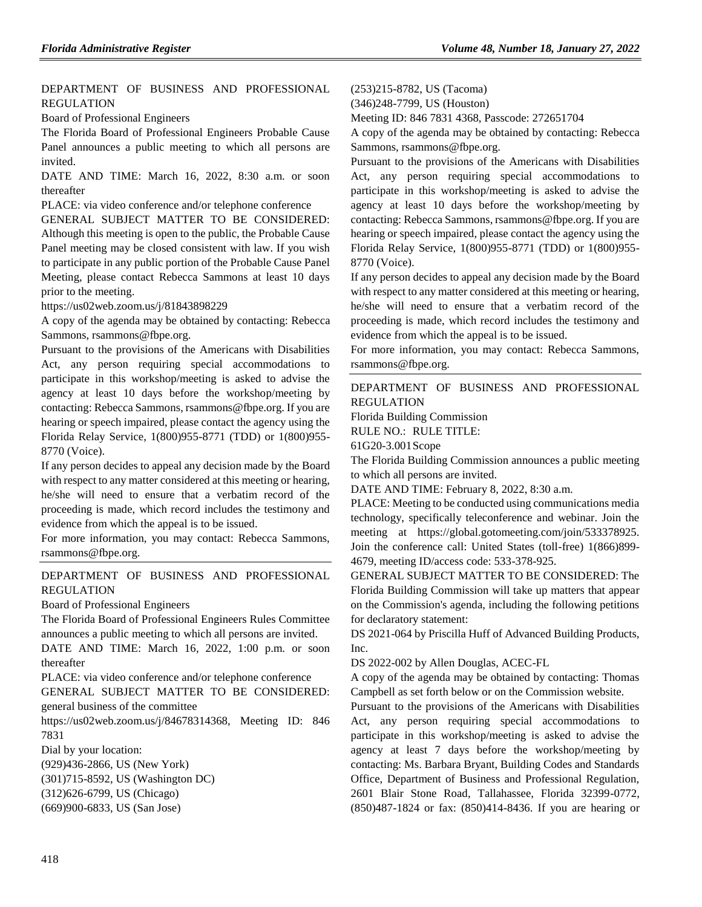#### [DEPARTMENT OF BUSINESS AND PROFESSIONAL](https://www.flrules.org/gateway/department.asp?id=61)  [REGULATION](https://www.flrules.org/gateway/department.asp?id=61)

[Board of Professional Engineers](https://www.flrules.org/gateway/organization.asp?id=267)

The Florida Board of Professional Engineers Probable Cause Panel announces a public meeting to which all persons are invited.

DATE AND TIME: March 16, 2022, 8:30 a.m. or soon thereafter

PLACE: via video conference and/or telephone conference

GENERAL SUBJECT MATTER TO BE CONSIDERED: Although this meeting is open to the public, the Probable Cause Panel meeting may be closed consistent with law. If you wish to participate in any public portion of the Probable Cause Panel Meeting, please contact Rebecca Sammons at least 10 days prior to the meeting.

https://us02web.zoom.us/j/81843898229

A copy of the agenda may be obtained by contacting: Rebecca Sammons, rsammons@fbpe.org.

Pursuant to the provisions of the Americans with Disabilities Act, any person requiring special accommodations to participate in this workshop/meeting is asked to advise the agency at least 10 days before the workshop/meeting by contacting: Rebecca Sammons, rsammons@fbpe.org. If you are hearing or speech impaired, please contact the agency using the Florida Relay Service, 1(800)955-8771 (TDD) or 1(800)955- 8770 (Voice).

If any person decides to appeal any decision made by the Board with respect to any matter considered at this meeting or hearing, he/she will need to ensure that a verbatim record of the proceeding is made, which record includes the testimony and evidence from which the appeal is to be issued.

For more information, you may contact: Rebecca Sammons, rsammons@fbpe.org.

### [DEPARTMENT OF BUSINESS AND PROFESSIONAL](https://www.flrules.org/gateway/department.asp?id=61)  [REGULATION](https://www.flrules.org/gateway/department.asp?id=61)

[Board of Professional Engineers](https://www.flrules.org/gateway/organization.asp?id=267)

The Florida Board of Professional Engineers Rules Committee announces a public meeting to which all persons are invited.

DATE AND TIME: March 16, 2022, 1:00 p.m. or soon thereafter

PLACE: via video conference and/or telephone conference

GENERAL SUBJECT MATTER TO BE CONSIDERED: general business of the committee

https://us02web.zoom.us/j/84678314368, Meeting ID: 846 7831

Dial by your location:

(929)436-2866, US (New York)

(301)715-8592, US (Washington DC)

(312)626-6799, US (Chicago)

(669)900-6833, US (San Jose)

(253)215-8782, US (Tacoma)

(346)248-7799, US (Houston)

Meeting ID: 846 7831 4368, Passcode: 272651704

A copy of the agenda may be obtained by contacting: Rebecca Sammons, rsammons@fbpe.org.

Pursuant to the provisions of the Americans with Disabilities Act, any person requiring special accommodations to participate in this workshop/meeting is asked to advise the agency at least 10 days before the workshop/meeting by contacting: Rebecca Sammons, rsammons@fbpe.org. If you are hearing or speech impaired, please contact the agency using the Florida Relay Service, 1(800)955-8771 (TDD) or 1(800)955- 8770 (Voice).

If any person decides to appeal any decision made by the Board with respect to any matter considered at this meeting or hearing, he/she will need to ensure that a verbatim record of the proceeding is made, which record includes the testimony and evidence from which the appeal is to be issued.

For more information, you may contact: Rebecca Sammons, rsammons@fbpe.org.

#### [DEPARTMENT OF BUSINESS AND PROFESSIONAL](https://www.flrules.org/gateway/department.asp?id=61)  [REGULATION](https://www.flrules.org/gateway/department.asp?id=61)

[Florida Building Commission](https://www.flrules.org/gateway/organization.asp?id=1071)

RULE NO.: RULE TITLE:

[61G20-3.001S](https://www.flrules.org/gateway/ruleNo.asp?id=61G20-3.001)cope

The Florida Building Commission announces a public meeting to which all persons are invited.

DATE AND TIME: February 8, 2022, 8:30 a.m.

PLACE: Meeting to be conducted using communications media technology, specifically teleconference and webinar. Join the meeting at https://global.gotomeeting.com/join/533378925. Join the conference call: United States (toll-free) 1(866)899- 4679, meeting ID/access code: 533-378-925.

GENERAL SUBJECT MATTER TO BE CONSIDERED: The Florida Building Commission will take up matters that appear on the Commission's agenda, including the following petitions for declaratory statement:

DS 2021-064 by Priscilla Huff of Advanced Building Products, Inc.

DS 2022-002 by Allen Douglas, ACEC-FL

A copy of the agenda may be obtained by contacting: Thomas Campbell as set forth below or on the Commission website.

Pursuant to the provisions of the Americans with Disabilities Act, any person requiring special accommodations to participate in this workshop/meeting is asked to advise the agency at least 7 days before the workshop/meeting by contacting: Ms. Barbara Bryant, Building Codes and Standards Office, Department of Business and Professional Regulation, 2601 Blair Stone Road, Tallahassee, Florida 32399-0772, (850)487-1824 or fax: (850)414-8436. If you are hearing or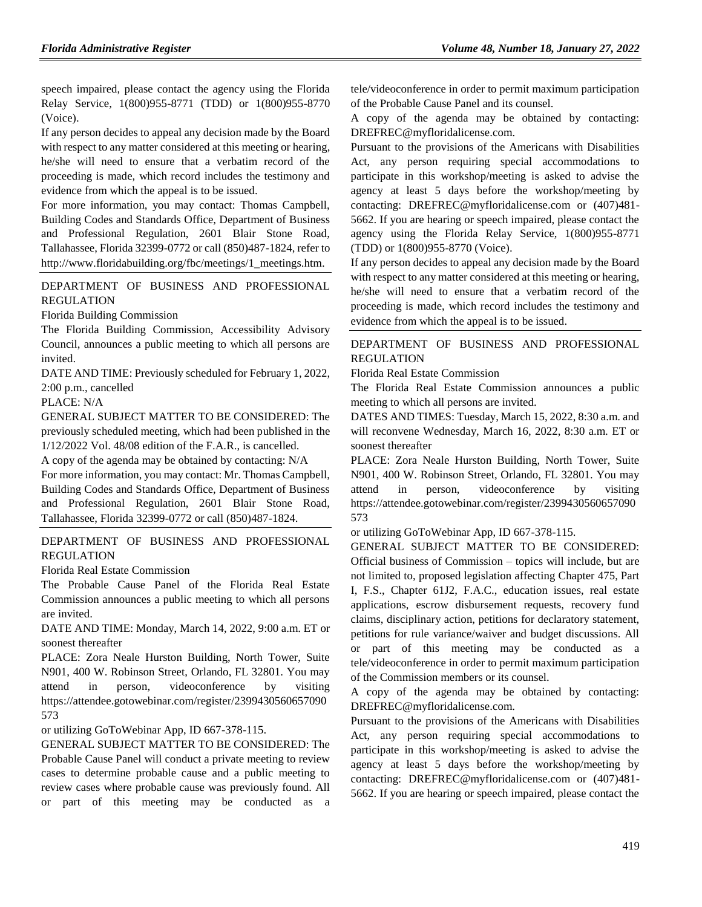speech impaired, please contact the agency using the Florida Relay Service, 1(800)955-8771 (TDD) or 1(800)955-8770 (Voice).

If any person decides to appeal any decision made by the Board with respect to any matter considered at this meeting or hearing, he/she will need to ensure that a verbatim record of the proceeding is made, which record includes the testimony and evidence from which the appeal is to be issued.

For more information, you may contact: Thomas Campbell, Building Codes and Standards Office, Department of Business and Professional Regulation, 2601 Blair Stone Road, Tallahassee, Florida 32399-0772 or call (850)487-1824, refer to http://www.floridabuilding.org/fbc/meetings/1\_meetings.htm.

[DEPARTMENT OF BUSINESS AND PROFESSIONAL](https://www.flrules.org/gateway/department.asp?id=61)  [REGULATION](https://www.flrules.org/gateway/department.asp?id=61)

[Florida Building Commission](https://www.flrules.org/gateway/organization.asp?id=1071)

The Florida Building Commission, Accessibility Advisory Council, announces a public meeting to which all persons are invited.

DATE AND TIME: Previously scheduled for February 1, 2022, 2:00 p.m., cancelled

PLACE: N/A

GENERAL SUBJECT MATTER TO BE CONSIDERED: The previously scheduled meeting, which had been published in the 1/12/2022 Vol. 48/08 edition of the F.A.R., is cancelled.

A copy of the agenda may be obtained by contacting: N/A

For more information, you may contact: Mr. Thomas Campbell, Building Codes and Standards Office, Department of Business and Professional Regulation, 2601 Blair Stone Road, Tallahassee, Florida 32399-0772 or call (850)487-1824.

#### [DEPARTMENT OF BUSINESS AND PROFESSIONAL](https://www.flrules.org/gateway/department.asp?id=61)  [REGULATION](https://www.flrules.org/gateway/department.asp?id=61)

[Florida Real Estate Commission](https://www.flrules.org/gateway/organization.asp?id=283)

The Probable Cause Panel of the Florida Real Estate Commission announces a public meeting to which all persons are invited.

DATE AND TIME: Monday, March 14, 2022, 9:00 a.m. ET or soonest thereafter

PLACE: Zora Neale Hurston Building, North Tower, Suite N901, 400 W. Robinson Street, Orlando, FL 32801. You may attend in person, videoconference by visiting https://attendee.gotowebinar.com/register/2399430560657090 573

or utilizing GoToWebinar App, ID 667-378-115.

GENERAL SUBJECT MATTER TO BE CONSIDERED: The Probable Cause Panel will conduct a private meeting to review cases to determine probable cause and a public meeting to review cases where probable cause was previously found. All or part of this meeting may be conducted as a tele/videoconference in order to permit maximum participation of the Probable Cause Panel and its counsel.

A copy of the agenda may be obtained by contacting: DREFREC@myfloridalicense.com.

Pursuant to the provisions of the Americans with Disabilities Act, any person requiring special accommodations to participate in this workshop/meeting is asked to advise the agency at least 5 days before the workshop/meeting by contacting: DREFREC@myfloridalicense.com or (407)481- 5662. If you are hearing or speech impaired, please contact the agency using the Florida Relay Service, 1(800)955-8771 (TDD) or 1(800)955-8770 (Voice).

If any person decides to appeal any decision made by the Board with respect to any matter considered at this meeting or hearing, he/she will need to ensure that a verbatim record of the proceeding is made, which record includes the testimony and evidence from which the appeal is to be issued.

## [DEPARTMENT OF BUSINESS AND PROFESSIONAL](https://www.flrules.org/gateway/department.asp?id=61)  [REGULATION](https://www.flrules.org/gateway/department.asp?id=61)

[Florida Real Estate Commission](https://www.flrules.org/gateway/organization.asp?id=283)

The Florida Real Estate Commission announces a public meeting to which all persons are invited.

DATES AND TIMES: Tuesday, March 15, 2022, 8:30 a.m. and will reconvene Wednesday, March 16, 2022, 8:30 a.m. ET or soonest thereafter

PLACE: Zora Neale Hurston Building, North Tower, Suite N901, 400 W. Robinson Street, Orlando, FL 32801. You may attend in person, videoconference by visiting https://attendee.gotowebinar.com/register/2399430560657090 573

or utilizing GoToWebinar App, ID 667-378-115.

GENERAL SUBJECT MATTER TO BE CONSIDERED: Official business of Commission – topics will include, but are not limited to, proposed legislation affecting Chapter 475, Part I, F.S., Chapter 61J2, F.A.C., education issues, real estate applications, escrow disbursement requests, recovery fund claims, disciplinary action, petitions for declaratory statement, petitions for rule variance/waiver and budget discussions. All or part of this meeting may be conducted as a tele/videoconference in order to permit maximum participation of the Commission members or its counsel.

A copy of the agenda may be obtained by contacting: DREFREC@myfloridalicense.com.

Pursuant to the provisions of the Americans with Disabilities Act, any person requiring special accommodations to participate in this workshop/meeting is asked to advise the agency at least 5 days before the workshop/meeting by contacting: DREFREC@myfloridalicense.com or (407)481- 5662. If you are hearing or speech impaired, please contact the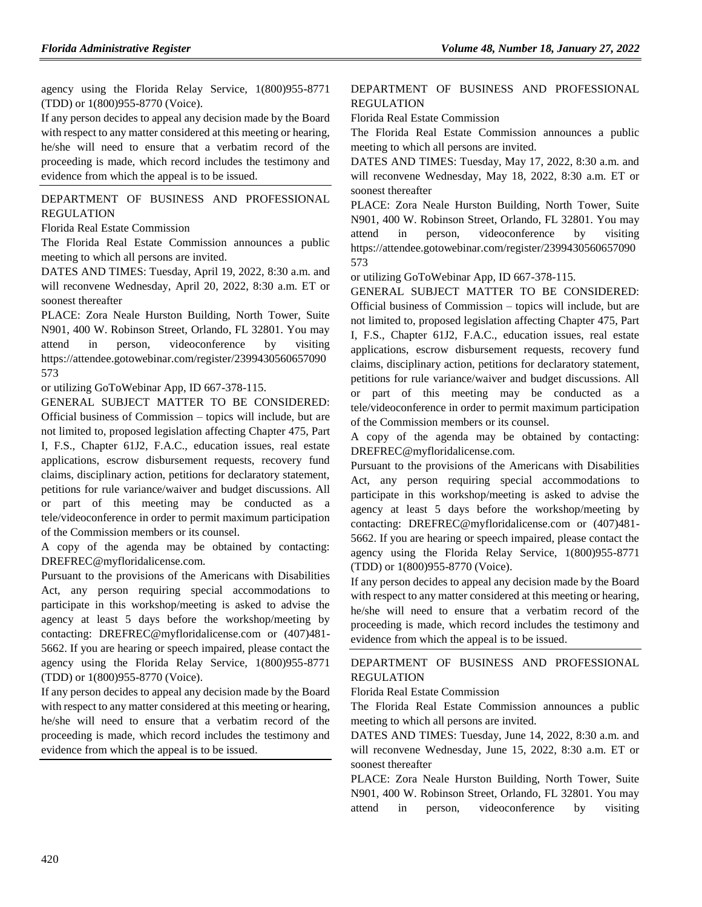agency using the Florida Relay Service, 1(800)955-8771 (TDD) or 1(800)955-8770 (Voice).

If any person decides to appeal any decision made by the Board with respect to any matter considered at this meeting or hearing, he/she will need to ensure that a verbatim record of the proceeding is made, which record includes the testimony and evidence from which the appeal is to be issued.

#### [DEPARTMENT OF BUSINESS AND PROFESSIONAL](https://www.flrules.org/gateway/department.asp?id=61)  [REGULATION](https://www.flrules.org/gateway/department.asp?id=61)

[Florida Real Estate Commission](https://www.flrules.org/gateway/organization.asp?id=283)

The Florida Real Estate Commission announces a public meeting to which all persons are invited.

DATES AND TIMES: Tuesday, April 19, 2022, 8:30 a.m. and will reconvene Wednesday, April 20, 2022, 8:30 a.m. ET or soonest thereafter

PLACE: Zora Neale Hurston Building, North Tower, Suite N901, 400 W. Robinson Street, Orlando, FL 32801. You may attend in person, videoconference by visiting https://attendee.gotowebinar.com/register/2399430560657090 573

or utilizing GoToWebinar App, ID 667-378-115.

GENERAL SUBJECT MATTER TO BE CONSIDERED: Official business of Commission – topics will include, but are not limited to, proposed legislation affecting Chapter 475, Part I, F.S., Chapter 61J2, F.A.C., education issues, real estate applications, escrow disbursement requests, recovery fund claims, disciplinary action, petitions for declaratory statement, petitions for rule variance/waiver and budget discussions. All or part of this meeting may be conducted as a tele/videoconference in order to permit maximum participation of the Commission members or its counsel.

A copy of the agenda may be obtained by contacting: DREFREC@myfloridalicense.com.

Pursuant to the provisions of the Americans with Disabilities Act, any person requiring special accommodations to participate in this workshop/meeting is asked to advise the agency at least 5 days before the workshop/meeting by contacting: DREFREC@myfloridalicense.com or (407)481- 5662. If you are hearing or speech impaired, please contact the agency using the Florida Relay Service, 1(800)955-8771 (TDD) or 1(800)955-8770 (Voice).

If any person decides to appeal any decision made by the Board with respect to any matter considered at this meeting or hearing, he/she will need to ensure that a verbatim record of the proceeding is made, which record includes the testimony and evidence from which the appeal is to be issued.

## [DEPARTMENT OF BUSINESS AND PROFESSIONAL](https://www.flrules.org/gateway/department.asp?id=61)  [REGULATION](https://www.flrules.org/gateway/department.asp?id=61)

[Florida Real Estate Commission](https://www.flrules.org/gateway/organization.asp?id=283)

The Florida Real Estate Commission announces a public meeting to which all persons are invited.

DATES AND TIMES: Tuesday, May 17, 2022, 8:30 a.m. and will reconvene Wednesday, May 18, 2022, 8:30 a.m. ET or soonest thereafter

PLACE: Zora Neale Hurston Building, North Tower, Suite N901, 400 W. Robinson Street, Orlando, FL 32801. You may attend in person, videoconference by visiting https://attendee.gotowebinar.com/register/2399430560657090 573

or utilizing GoToWebinar App, ID 667-378-115.

GENERAL SUBJECT MATTER TO BE CONSIDERED: Official business of Commission – topics will include, but are not limited to, proposed legislation affecting Chapter 475, Part I, F.S., Chapter 61J2, F.A.C., education issues, real estate applications, escrow disbursement requests, recovery fund claims, disciplinary action, petitions for declaratory statement, petitions for rule variance/waiver and budget discussions. All or part of this meeting may be conducted as a tele/videoconference in order to permit maximum participation of the Commission members or its counsel.

A copy of the agenda may be obtained by contacting: DREFREC@myfloridalicense.com.

Pursuant to the provisions of the Americans with Disabilities Act, any person requiring special accommodations to participate in this workshop/meeting is asked to advise the agency at least 5 days before the workshop/meeting by contacting: DREFREC@myfloridalicense.com or (407)481- 5662. If you are hearing or speech impaired, please contact the agency using the Florida Relay Service, 1(800)955-8771 (TDD) or 1(800)955-8770 (Voice).

If any person decides to appeal any decision made by the Board with respect to any matter considered at this meeting or hearing, he/she will need to ensure that a verbatim record of the proceeding is made, which record includes the testimony and evidence from which the appeal is to be issued.

#### [DEPARTMENT OF BUSINESS AND PROFESSIONAL](https://www.flrules.org/gateway/department.asp?id=61)  [REGULATION](https://www.flrules.org/gateway/department.asp?id=61)

[Florida Real Estate Commission](https://www.flrules.org/gateway/organization.asp?id=283)

The Florida Real Estate Commission announces a public meeting to which all persons are invited.

DATES AND TIMES: Tuesday, June 14, 2022, 8:30 a.m. and will reconvene Wednesday, June 15, 2022, 8:30 a.m. ET or soonest thereafter

PLACE: Zora Neale Hurston Building, North Tower, Suite N901, 400 W. Robinson Street, Orlando, FL 32801. You may attend in person, videoconference by visiting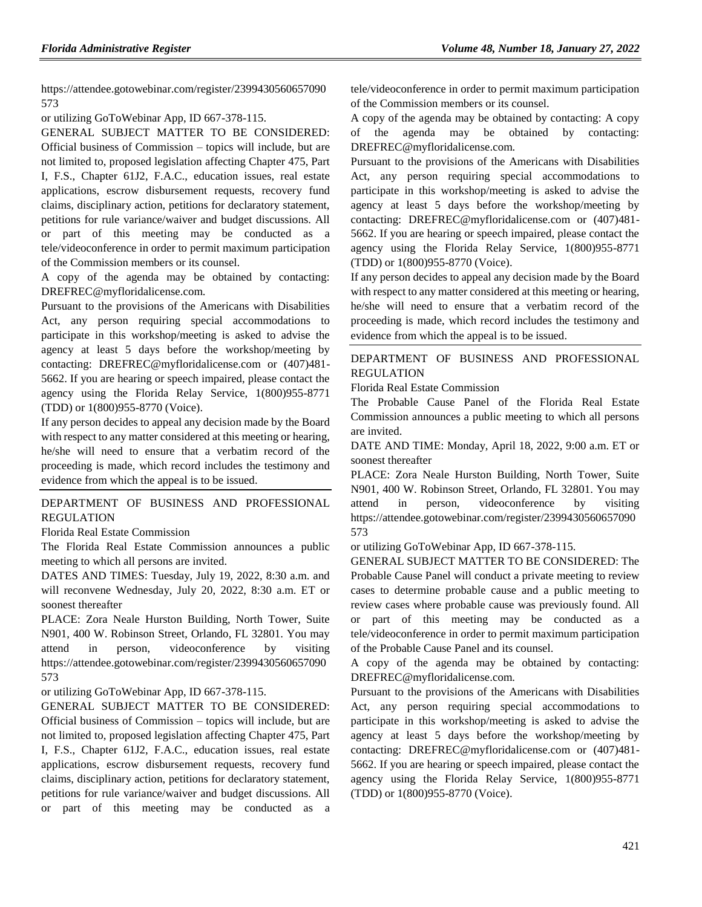https://attendee.gotowebinar.com/register/2399430560657090 573

or utilizing GoToWebinar App, ID 667-378-115.

GENERAL SUBJECT MATTER TO BE CONSIDERED: Official business of Commission – topics will include, but are not limited to, proposed legislation affecting Chapter 475, Part I, F.S., Chapter 61J2, F.A.C., education issues, real estate applications, escrow disbursement requests, recovery fund claims, disciplinary action, petitions for declaratory statement, petitions for rule variance/waiver and budget discussions. All or part of this meeting may be conducted as a tele/videoconference in order to permit maximum participation of the Commission members or its counsel.

A copy of the agenda may be obtained by contacting: DREFREC@myfloridalicense.com.

Pursuant to the provisions of the Americans with Disabilities Act, any person requiring special accommodations to participate in this workshop/meeting is asked to advise the agency at least 5 days before the workshop/meeting by contacting: DREFREC@myfloridalicense.com or (407)481- 5662. If you are hearing or speech impaired, please contact the agency using the Florida Relay Service, 1(800)955-8771 (TDD) or 1(800)955-8770 (Voice).

If any person decides to appeal any decision made by the Board with respect to any matter considered at this meeting or hearing, he/she will need to ensure that a verbatim record of the proceeding is made, which record includes the testimony and evidence from which the appeal is to be issued.

#### [DEPARTMENT OF BUSINESS AND PROFESSIONAL](https://www.flrules.org/gateway/department.asp?id=61)  [REGULATION](https://www.flrules.org/gateway/department.asp?id=61)

[Florida Real Estate Commission](https://www.flrules.org/gateway/organization.asp?id=283)

The Florida Real Estate Commission announces a public meeting to which all persons are invited.

DATES AND TIMES: Tuesday, July 19, 2022, 8:30 a.m. and will reconvene Wednesday, July 20, 2022, 8:30 a.m. ET or soonest thereafter

PLACE: Zora Neale Hurston Building, North Tower, Suite N901, 400 W. Robinson Street, Orlando, FL 32801. You may attend in person, videoconference by visiting https://attendee.gotowebinar.com/register/2399430560657090 573

or utilizing GoToWebinar App, ID 667-378-115.

GENERAL SUBJECT MATTER TO BE CONSIDERED: Official business of Commission – topics will include, but are not limited to, proposed legislation affecting Chapter 475, Part I, F.S., Chapter 61J2, F.A.C., education issues, real estate applications, escrow disbursement requests, recovery fund claims, disciplinary action, petitions for declaratory statement, petitions for rule variance/waiver and budget discussions. All or part of this meeting may be conducted as a tele/videoconference in order to permit maximum participation of the Commission members or its counsel.

A copy of the agenda may be obtained by contacting: A copy of the agenda may be obtained by contacting: DREFREC@myfloridalicense.com.

Pursuant to the provisions of the Americans with Disabilities Act, any person requiring special accommodations to participate in this workshop/meeting is asked to advise the agency at least 5 days before the workshop/meeting by contacting: DREFREC@myfloridalicense.com or (407)481- 5662. If you are hearing or speech impaired, please contact the agency using the Florida Relay Service, 1(800)955-8771 (TDD) or 1(800)955-8770 (Voice).

If any person decides to appeal any decision made by the Board with respect to any matter considered at this meeting or hearing, he/she will need to ensure that a verbatim record of the proceeding is made, which record includes the testimony and evidence from which the appeal is to be issued.

#### [DEPARTMENT OF BUSINESS AND PROFESSIONAL](https://www.flrules.org/gateway/department.asp?id=61)  [REGULATION](https://www.flrules.org/gateway/department.asp?id=61)

[Florida Real Estate Commission](https://www.flrules.org/gateway/organization.asp?id=283)

The Probable Cause Panel of the Florida Real Estate Commission announces a public meeting to which all persons are invited.

DATE AND TIME: Monday, April 18, 2022, 9:00 a.m. ET or soonest thereafter

PLACE: Zora Neale Hurston Building, North Tower, Suite N901, 400 W. Robinson Street, Orlando, FL 32801. You may attend in person, videoconference by visiting https://attendee.gotowebinar.com/register/2399430560657090 573

or utilizing GoToWebinar App, ID 667-378-115.

GENERAL SUBJECT MATTER TO BE CONSIDERED: The Probable Cause Panel will conduct a private meeting to review cases to determine probable cause and a public meeting to review cases where probable cause was previously found. All or part of this meeting may be conducted as a tele/videoconference in order to permit maximum participation of the Probable Cause Panel and its counsel.

A copy of the agenda may be obtained by contacting: DREFREC@myfloridalicense.com.

Pursuant to the provisions of the Americans with Disabilities Act, any person requiring special accommodations to participate in this workshop/meeting is asked to advise the agency at least 5 days before the workshop/meeting by contacting: DREFREC@myfloridalicense.com or (407)481- 5662. If you are hearing or speech impaired, please contact the agency using the Florida Relay Service, 1(800)955-8771 (TDD) or 1(800)955-8770 (Voice).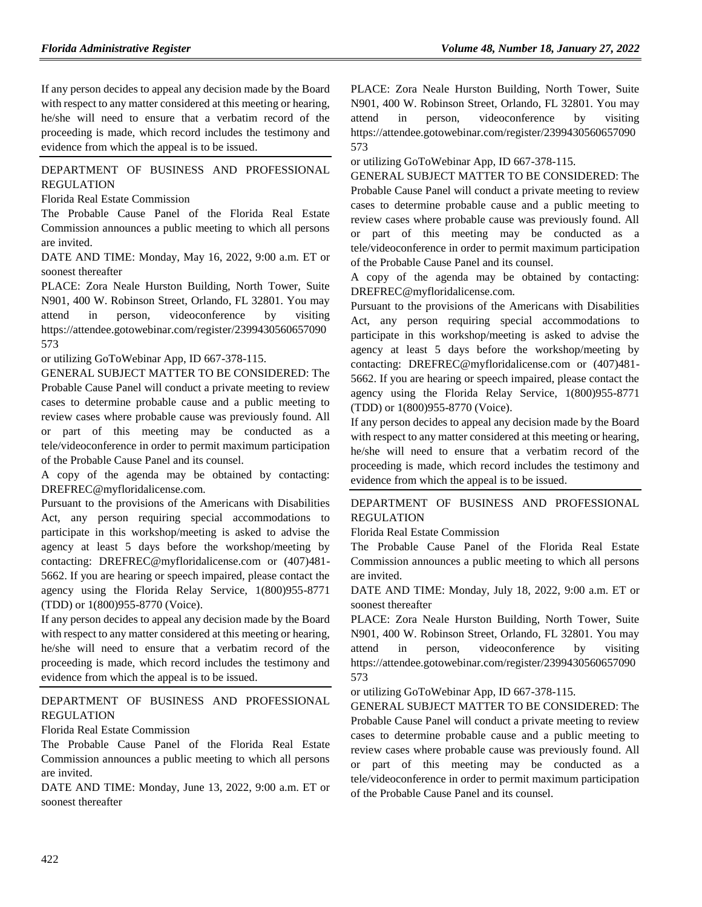If any person decides to appeal any decision made by the Board with respect to any matter considered at this meeting or hearing, he/she will need to ensure that a verbatim record of the proceeding is made, which record includes the testimony and evidence from which the appeal is to be issued.

### [DEPARTMENT OF BUSINESS AND PROFESSIONAL](https://www.flrules.org/gateway/department.asp?id=61)  [REGULATION](https://www.flrules.org/gateway/department.asp?id=61)

[Florida Real Estate Commission](https://www.flrules.org/gateway/organization.asp?id=283)

The Probable Cause Panel of the Florida Real Estate Commission announces a public meeting to which all persons are invited.

DATE AND TIME: Monday, May 16, 2022, 9:00 a.m. ET or soonest thereafter

PLACE: Zora Neale Hurston Building, North Tower, Suite N901, 400 W. Robinson Street, Orlando, FL 32801. You may attend in person, videoconference by visiting https://attendee.gotowebinar.com/register/2399430560657090 573

or utilizing GoToWebinar App, ID 667-378-115.

GENERAL SUBJECT MATTER TO BE CONSIDERED: The Probable Cause Panel will conduct a private meeting to review cases to determine probable cause and a public meeting to review cases where probable cause was previously found. All or part of this meeting may be conducted as a tele/videoconference in order to permit maximum participation of the Probable Cause Panel and its counsel.

A copy of the agenda may be obtained by contacting: DREFREC@myfloridalicense.com.

Pursuant to the provisions of the Americans with Disabilities Act, any person requiring special accommodations to participate in this workshop/meeting is asked to advise the agency at least 5 days before the workshop/meeting by contacting: DREFREC@myfloridalicense.com or (407)481- 5662. If you are hearing or speech impaired, please contact the agency using the Florida Relay Service, 1(800)955-8771 (TDD) or 1(800)955-8770 (Voice).

If any person decides to appeal any decision made by the Board with respect to any matter considered at this meeting or hearing, he/she will need to ensure that a verbatim record of the proceeding is made, which record includes the testimony and evidence from which the appeal is to be issued.

[DEPARTMENT OF BUSINESS AND PROFESSIONAL](https://www.flrules.org/gateway/department.asp?id=61)  [REGULATION](https://www.flrules.org/gateway/department.asp?id=61)

[Florida Real Estate Commission](https://www.flrules.org/gateway/organization.asp?id=283)

The Probable Cause Panel of the Florida Real Estate Commission announces a public meeting to which all persons are invited.

DATE AND TIME: Monday, June 13, 2022, 9:00 a.m. ET or soonest thereafter

PLACE: Zora Neale Hurston Building, North Tower, Suite N901, 400 W. Robinson Street, Orlando, FL 32801. You may attend in person, videoconference by visiting https://attendee.gotowebinar.com/register/2399430560657090 573

or utilizing GoToWebinar App, ID 667-378-115.

GENERAL SUBJECT MATTER TO BE CONSIDERED: The Probable Cause Panel will conduct a private meeting to review cases to determine probable cause and a public meeting to review cases where probable cause was previously found. All or part of this meeting may be conducted as a tele/videoconference in order to permit maximum participation of the Probable Cause Panel and its counsel.

A copy of the agenda may be obtained by contacting: DREFREC@myfloridalicense.com.

Pursuant to the provisions of the Americans with Disabilities Act, any person requiring special accommodations to participate in this workshop/meeting is asked to advise the agency at least 5 days before the workshop/meeting by contacting: DREFREC@myfloridalicense.com or (407)481- 5662. If you are hearing or speech impaired, please contact the agency using the Florida Relay Service, 1(800)955-8771 (TDD) or 1(800)955-8770 (Voice).

If any person decides to appeal any decision made by the Board with respect to any matter considered at this meeting or hearing, he/she will need to ensure that a verbatim record of the proceeding is made, which record includes the testimony and evidence from which the appeal is to be issued.

### [DEPARTMENT OF BUSINESS AND PROFESSIONAL](https://www.flrules.org/gateway/department.asp?id=61)  [REGULATION](https://www.flrules.org/gateway/department.asp?id=61)

[Florida Real Estate Commission](https://www.flrules.org/gateway/organization.asp?id=283)

The Probable Cause Panel of the Florida Real Estate Commission announces a public meeting to which all persons are invited.

DATE AND TIME: Monday, July 18, 2022, 9:00 a.m. ET or soonest thereafter

PLACE: Zora Neale Hurston Building, North Tower, Suite N901, 400 W. Robinson Street, Orlando, FL 32801. You may attend in person, videoconference by visiting https://attendee.gotowebinar.com/register/2399430560657090 573

or utilizing GoToWebinar App, ID 667-378-115.

GENERAL SUBJECT MATTER TO BE CONSIDERED: The Probable Cause Panel will conduct a private meeting to review cases to determine probable cause and a public meeting to review cases where probable cause was previously found. All or part of this meeting may be conducted as a tele/videoconference in order to permit maximum participation of the Probable Cause Panel and its counsel.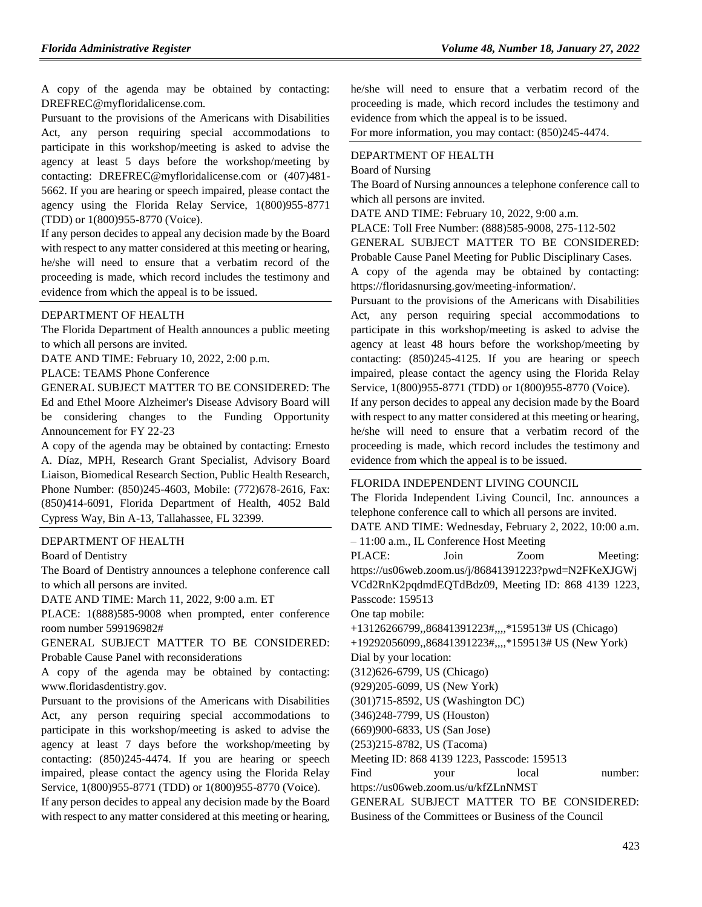A copy of the agenda may be obtained by contacting: DREFREC@myfloridalicense.com.

Pursuant to the provisions of the Americans with Disabilities Act, any person requiring special accommodations to participate in this workshop/meeting is asked to advise the agency at least 5 days before the workshop/meeting by contacting: DREFREC@myfloridalicense.com or (407)481- 5662. If you are hearing or speech impaired, please contact the agency using the Florida Relay Service, 1(800)955-8771 (TDD) or 1(800)955-8770 (Voice).

If any person decides to appeal any decision made by the Board with respect to any matter considered at this meeting or hearing, he/she will need to ensure that a verbatim record of the proceeding is made, which record includes the testimony and evidence from which the appeal is to be issued.

#### [DEPARTMENT OF HEALTH](https://www.flrules.org/gateway/department.asp?id=64)

The Florida Department of Health announces a public meeting to which all persons are invited.

DATE AND TIME: February 10, 2022, 2:00 p.m.

PLACE: TEAMS Phone Conference

GENERAL SUBJECT MATTER TO BE CONSIDERED: The Ed and Ethel Moore Alzheimer's Disease Advisory Board will be considering changes to the Funding Opportunity Announcement for FY 22-23

A copy of the agenda may be obtained by contacting: Ernesto A. Díaz, MPH, Research Grant Specialist, Advisory Board Liaison, Biomedical Research Section, Public Health Research, Phone Number: (850)245-4603, Mobile: (772)678-2616, Fax: (850)414-6091, Florida Department of Health, 4052 Bald Cypress Way, Bin A-13, Tallahassee, FL 32399.

#### [DEPARTMENT OF HEALTH](https://www.flrules.org/gateway/department.asp?id=64)

[Board of Dentistry](https://www.flrules.org/gateway/organization.asp?id=328)

The Board of Dentistry announces a telephone conference call to which all persons are invited.

DATE AND TIME: March 11, 2022, 9:00 a.m. ET

PLACE: 1(888)585-9008 when prompted, enter conference room number 599196982#

GENERAL SUBJECT MATTER TO BE CONSIDERED: Probable Cause Panel with reconsiderations

A copy of the agenda may be obtained by contacting: www.floridasdentistry.gov.

Pursuant to the provisions of the Americans with Disabilities Act, any person requiring special accommodations to participate in this workshop/meeting is asked to advise the agency at least 7 days before the workshop/meeting by contacting: (850)245-4474. If you are hearing or speech impaired, please contact the agency using the Florida Relay Service, 1(800)955-8771 (TDD) or 1(800)955-8770 (Voice).

If any person decides to appeal any decision made by the Board with respect to any matter considered at this meeting or hearing,

he/she will need to ensure that a verbatim record of the proceeding is made, which record includes the testimony and evidence from which the appeal is to be issued.

For more information, you may contact: (850)245-4474.

#### [DEPARTMENT OF HEALTH](https://www.flrules.org/gateway/department.asp?id=64)

#### [Board of Nursing](https://www.flrules.org/gateway/organization.asp?id=332)

The Board of Nursing announces a telephone conference call to which all persons are invited.

DATE AND TIME: February 10, 2022, 9:00 a.m.

PLACE: Toll Free Number: (888)585-9008, 275-112-502

GENERAL SUBJECT MATTER TO BE CONSIDERED: Probable Cause Panel Meeting for Public Disciplinary Cases.

A copy of the agenda may be obtained by contacting: https://floridasnursing.gov/meeting-information/.

Pursuant to the provisions of the Americans with Disabilities Act, any person requiring special accommodations to participate in this workshop/meeting is asked to advise the agency at least 48 hours before the workshop/meeting by contacting: (850)245-4125. If you are hearing or speech impaired, please contact the agency using the Florida Relay Service, 1(800)955-8771 (TDD) or 1(800)955-8770 (Voice).

If any person decides to appeal any decision made by the Board with respect to any matter considered at this meeting or hearing, he/she will need to ensure that a verbatim record of the proceeding is made, which record includes the testimony and evidence from which the appeal is to be issued.

#### [FLORIDA INDEPENDENT LIVING COUNCIL](https://www.flrules.org/gateway/organization.asp?id=616)

The Florida Independent Living Council, Inc. announces a telephone conference call to which all persons are invited.

DATE AND TIME: Wednesday, February 2, 2022, 10:00 a.m. – 11:00 a.m., IL Conference Host Meeting

PLACE: Join Zoom Meeting: https://us06web.zoom.us/j/86841391223?pwd=N2FKeXJGWj VCd2RnK2pqdmdEQTdBdz09, Meeting ID: 868 4139 1223, Passcode: 159513

One tap mobile:

+13126266799,,86841391223#,,,,\*159513# US (Chicago)

+19292056099,,86841391223#,,,,\*159513# US (New York)

Dial by your location:

(312)626-6799, US (Chicago)

(929)205-6099, US (New York)

(301)715-8592, US (Washington DC)

(346)248-7799, US (Houston)

(669)900-6833, US (San Jose)

(253)215-8782, US (Tacoma)

Meeting ID: 868 4139 1223, Passcode: 159513

Find your local number: https://us06web.zoom.us/u/kfZLnNMST

GENERAL SUBJECT MATTER TO BE CONSIDERED: Business of the Committees or Business of the Council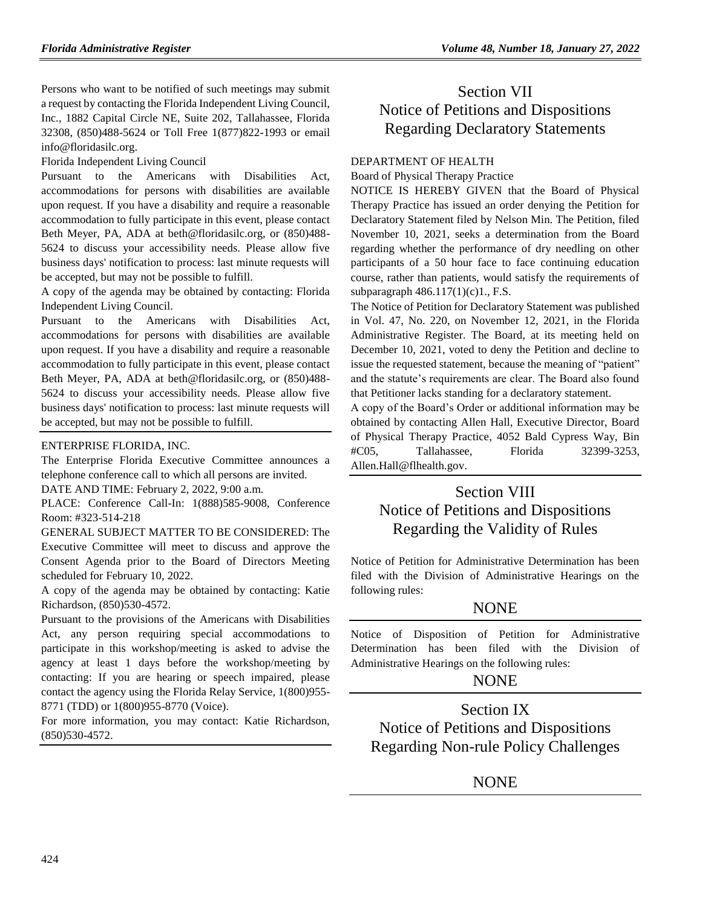Persons who want to be notified of such meetings may submit a request by contacting the Florida Independent Living Council, Inc., 1882 Capital Circle NE, Suite 202, Tallahassee, Florida 32308, (850)488-5624 or Toll Free 1(877)822-1993 or email info@floridasilc.org.

Florida Independent Living Council

Pursuant to the Americans with Disabilities Act, accommodations for persons with disabilities are available upon request. If you have a disability and require a reasonable accommodation to fully participate in this event, please contact Beth Meyer, PA, ADA at beth@floridasilc.org, or (850)488- 5624 to discuss your accessibility needs. Please allow five business days' notification to process: last minute requests will be accepted, but may not be possible to fulfill.

A copy of the agenda may be obtained by contacting: Florida Independent Living Council.

Pursuant to the Americans with Disabilities Act, accommodations for persons with disabilities are available upon request. If you have a disability and require a reasonable accommodation to fully participate in this event, please contact Beth Meyer, PA, ADA at beth@floridasilc.org, or (850)488- 5624 to discuss your accessibility needs. Please allow five business days' notification to process: last minute requests will be accepted, but may not be possible to fulfill.

#### [ENTERPRISE FLORIDA, INC.](https://www.flrules.org/gateway/organization.asp?id=680)

The Enterprise Florida Executive Committee announces a telephone conference call to which all persons are invited.

DATE AND TIME: February 2, 2022, 9:00 a.m.

PLACE: Conference Call-In: 1(888)585-9008, Conference Room: #323-514-218

GENERAL SUBJECT MATTER TO BE CONSIDERED: The Executive Committee will meet to discuss and approve the Consent Agenda prior to the Board of Directors Meeting scheduled for February 10, 2022.

A copy of the agenda may be obtained by contacting: Katie Richardson, (850)530-4572.

Pursuant to the provisions of the Americans with Disabilities Act, any person requiring special accommodations to participate in this workshop/meeting is asked to advise the agency at least 1 days before the workshop/meeting by contacting: If you are hearing or speech impaired, please contact the agency using the Florida Relay Service, 1(800)955- 8771 (TDD) or 1(800)955-8770 (Voice).

For more information, you may contact: Katie Richardson, (850)530-4572.

# Section VII Notice of Petitions and Dispositions Regarding Declaratory Statements

#### DEPARTMENT OF HEALTH

Board of Physical Therapy Practice

NOTICE IS HEREBY GIVEN that the Board of Physical Therapy Practice has issued an order denying the Petition for Declaratory Statement filed by Nelson Min. The Petition, filed November 10, 2021, seeks a determination from the Board regarding whether the performance of dry needling on other participants of a 50 hour face to face continuing education course, rather than patients, would satisfy the requirements of subparagraph 486.117(1)(c)1., F.S.

The Notice of Petition for Declaratory Statement was published in Vol. 47, No. 220, on November 12, 2021, in the Florida Administrative Register. The Board, at its meeting held on December 10, 2021, voted to deny the Petition and decline to issue the requested statement, because the meaning of "patient" and the statute's requirements are clear. The Board also found that Petitioner lacks standing for a declaratory statement.

A copy of the Board's Order or additional information may be obtained by contacting Allen Hall, Executive Director, Board of Physical Therapy Practice, 4052 Bald Cypress Way, Bin #C05, Tallahassee, Florida 32399-3253, [Allen.Hall@flhealth.gov.](mailto:Allen.Hall@flhealth.gov)

# Section VIII Notice of Petitions and Dispositions Regarding the Validity of Rules

Notice of Petition for Administrative Determination has been filed with the Division of Administrative Hearings on the following rules:

## **NONE**

Notice of Disposition of Petition for Administrative Determination has been filed with the Division of Administrative Hearings on the following rules:

## **NONE**

Section IX Notice of Petitions and Dispositions Regarding Non-rule Policy Challenges

**NONE**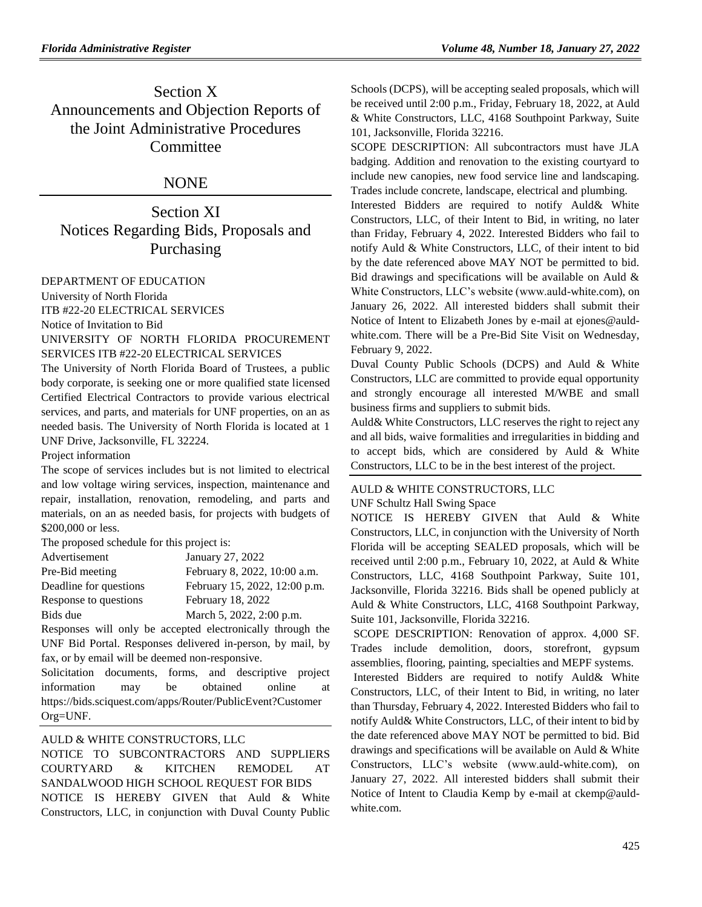# Section X Announcements and Objection Reports of the Joint Administrative Procedures **Committee**

## NONE

Section XI Notices Regarding Bids, Proposals and Purchasing

#### [DEPARTMENT OF EDUCATION](https://www.flrules.org/gateway/department.asp?id=6)

[University of North Florida](https://www.flrules.org/gateway/organization.asp?id=207) ITB #22-20 ELECTRICAL SERVICES

Notice of Invitation to Bid

UNIVERSITY OF NORTH FLORIDA PROCUREMENT SERVICES ITB #22-20 ELECTRICAL SERVICES

The University of North Florida Board of Trustees, a public body corporate, is seeking one or more qualified state licensed Certified Electrical Contractors to provide various electrical services, and parts, and materials for UNF properties, on an as needed basis. The University of North Florida is located at 1 UNF Drive, Jacksonville, FL 32224.

Project information

The scope of services includes but is not limited to electrical and low voltage wiring services, inspection, maintenance and repair, installation, renovation, remodeling, and parts and materials, on an as needed basis, for projects with budgets of \$200,000 or less.

The proposed schedule for this project is:

| Advertisement          | January 27, 2022              |
|------------------------|-------------------------------|
| Pre-Bid meeting        | February 8, 2022, 10:00 a.m.  |
| Deadline for questions | February 15, 2022, 12:00 p.m. |
| Response to questions  | February 18, 2022             |
| Bids due               | March 5, 2022, 2:00 p.m.      |

Responses will only be accepted electronically through the UNF Bid Portal. Responses delivered in-person, by mail, by fax, or by email will be deemed non-responsive.

Solicitation documents, forms, and descriptive project information may be obtained online at [https://bids.sciquest.com/apps/Router/PublicEvent?Customer](https://bids.sciquest.com/apps/Router/PublicEvent?CustomerOrg=UNF) [Org=UNF.](https://bids.sciquest.com/apps/Router/PublicEvent?CustomerOrg=UNF)

## AULD & WHITE CONSTRUCTORS, LLC

NOTICE TO SUBCONTRACTORS AND SUPPLIERS COURTYARD & KITCHEN REMODEL AT SANDALWOOD HIGH SCHOOL REQUEST FOR BIDS NOTICE IS HEREBY GIVEN that Auld & White Constructors, LLC, in conjunction with Duval County Public Schools (DCPS), will be accepting sealed proposals, which will be received until 2:00 p.m., Friday, February 18, 2022, at Auld & White Constructors, LLC, 4168 Southpoint Parkway, Suite 101, Jacksonville, Florida 32216.

SCOPE DESCRIPTION: All subcontractors must have JLA badging. Addition and renovation to the existing courtyard to include new canopies, new food service line and landscaping. Trades include concrete, landscape, electrical and plumbing.

Interested Bidders are required to notify Auld& White Constructors, LLC, of their Intent to Bid, in writing, no later than Friday, February 4, 2022. Interested Bidders who fail to notify Auld & White Constructors, LLC, of their intent to bid by the date referenced above MAY NOT be permitted to bid. Bid drawings and specifications will be available on Auld  $\&$ White Constructors, LLC's website (www.auld-white.com), on January 26, 2022. All interested bidders shall submit their Notice of Intent to Elizabeth Jones by e-mail at [ejones@auld](mailto:ejones@auld-white.com)[white.com.](mailto:ejones@auld-white.com) There will be a Pre-Bid Site Visit on Wednesday, February 9, 2022.

Duval County Public Schools (DCPS) and Auld & White Constructors, LLC are committed to provide equal opportunity and strongly encourage all interested M/WBE and small business firms and suppliers to submit bids.

Auld& White Constructors, LLC reserves the right to reject any and all bids, waive formalities and irregularities in bidding and to accept bids, which are considered by Auld & White Constructors, LLC to be in the best interest of the project.

## AULD & WHITE CONSTRUCTORS, LLC

UNF Schultz Hall Swing Space

NOTICE IS HEREBY GIVEN that Auld & White Constructors, LLC, in conjunction with the University of North Florida will be accepting SEALED proposals, which will be received until 2:00 p.m., February 10, 2022, at Auld & White Constructors, LLC, 4168 Southpoint Parkway, Suite 101, Jacksonville, Florida 32216. Bids shall be opened publicly at Auld & White Constructors, LLC, 4168 Southpoint Parkway, Suite 101, Jacksonville, Florida 32216.

SCOPE DESCRIPTION: Renovation of approx. 4,000 SF. Trades include demolition, doors, storefront, gypsum assemblies, flooring, painting, specialties and MEPF systems.

Interested Bidders are required to notify Auld& White Constructors, LLC, of their Intent to Bid, in writing, no later than Thursday, February 4, 2022. Interested Bidders who fail to notify Auld& White Constructors, LLC, of their intent to bid by the date referenced above MAY NOT be permitted to bid. Bid drawings and specifications will be available on Auld & White Constructors, LLC's website (www.auld-white.com), on January 27, 2022. All interested bidders shall submit their Notice of Intent to Claudia Kemp by e-mail at [ckemp@auld](mailto:ckemp@auld-white.com)[white.com.](mailto:ckemp@auld-white.com)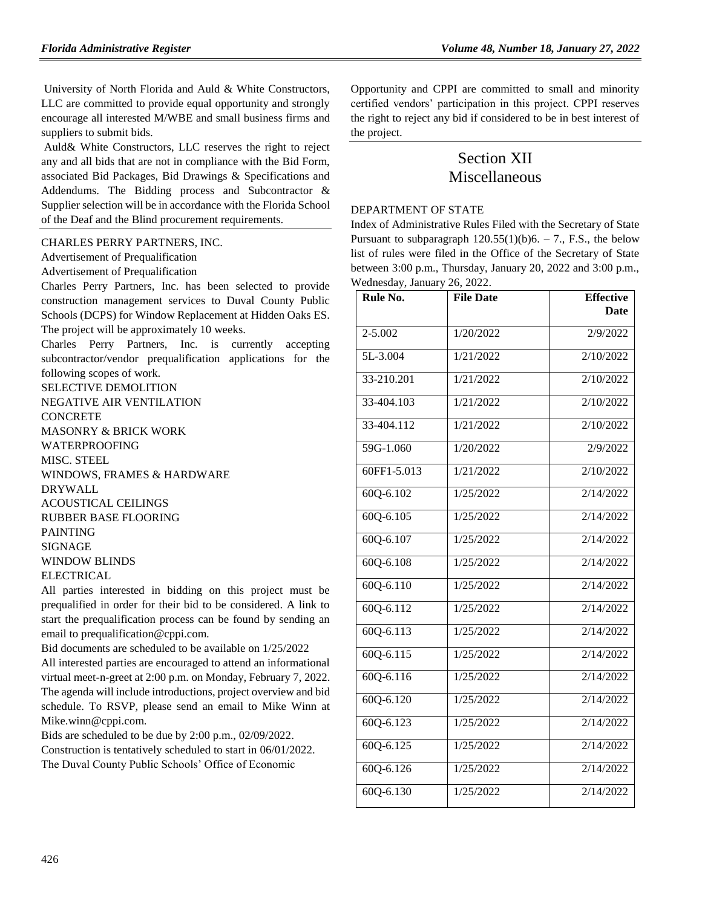University of North Florida and Auld & White Constructors, LLC are committed to provide equal opportunity and strongly encourage all interested M/WBE and small business firms and suppliers to submit bids.

Auld& White Constructors, LLC reserves the right to reject any and all bids that are not in compliance with the Bid Form, associated Bid Packages, Bid Drawings & Specifications and Addendums. The Bidding process and Subcontractor & Supplier selection will be in accordance with the Florida School of the Deaf and the Blind procurement requirements.

#### [CHARLES PERRY PARTNERS, INC.](https://www.flrules.org/gateway/organization.asp?id=1247)

Advertisement of Prequalification

Advertisement of Prequalification

Charles Perry Partners, Inc. has been selected to provide construction management services to Duval County Public Schools (DCPS) for Window Replacement at Hidden Oaks ES. The project will be approximately 10 weeks.

Charles Perry Partners, Inc. is currently accepting subcontractor/vendor prequalification applications for the following scopes of work.

SELECTIVE DEMOLITION NEGATIVE AIR VENTILATION CONCRETE MASONRY & BRICK WORK WATERPROOFING MISC. STEEL WINDOWS, FRAMES & HARDWARE DRYWALL ACOUSTICAL CEILINGS RUBBER BASE FLOORING PAINTING SIGNAGE WINDOW BLINDS **ELECTRICAL** 

All parties interested in bidding on this project must be prequalified in order for their bid to be considered. A link to start the prequalification process can be found by sending an email to prequalification@cppi.com.

Bid documents are scheduled to be available on 1/25/2022 All interested parties are encouraged to attend an informational virtual meet-n-greet at 2:00 p.m. on Monday, February 7, 2022. The agenda will include introductions, project overview and bid schedule. To RSVP, please send an email to Mike Winn at Mike.winn@cppi.com.

Bids are scheduled to be due by 2:00 p.m., 02/09/2022. Construction is tentatively scheduled to start in 06/01/2022. The Duval County Public Schools' Office of Economic

Opportunity and CPPI are committed to small and minority certified vendors' participation in this project. CPPI reserves the right to reject any bid if considered to be in best interest of the project.

## Section XII Miscellaneous

#### [DEPARTMENT OF STATE](https://www.flrules.org/gateway/department.asp?id=1)

Index of Administrative Rules Filed with the Secretary of State Pursuant to subparagraph  $120.55(1)(b)6. - 7$ ., F.S., the below list of rules were filed in the Office of the Secretary of State between 3:00 p.m., Thursday, January 20, 2022 and 3:00 p.m., Wednesday, January 26, 2022.

| Rule No.      | <b>File Date</b> | <b>Effective</b> |
|---------------|------------------|------------------|
|               |                  | Date             |
| 2-5.002       | 1/20/2022        | 2/9/2022         |
| 5L-3.004      | 1/21/2022        | 2/10/2022        |
| 33-210.201    | 1/21/2022        | 2/10/2022        |
| 33-404.103    | 1/21/2022        | 2/10/2022        |
| 33-404.112    | 1/21/2022        | 2/10/2022        |
| 59G-1.060     | 1/20/2022        | 2/9/2022         |
| 60FF1-5.013   | 1/21/2022        | 2/10/2022        |
| 60Q-6.102     | 1/25/2022        | 2/14/2022        |
| 60Q-6.105     | 1/25/2022        | 2/14/2022        |
| $60Q - 6.107$ | 1/25/2022        | 2/14/2022        |
| 60Q-6.108     | 1/25/2022        | 2/14/2022        |
| 60Q-6.110     | 1/25/2022        | 2/14/2022        |
| $60Q - 6.112$ | 1/25/2022        | 2/14/2022        |
| 60Q-6.113     | 1/25/2022        | 2/14/2022        |
| 60Q-6.115     | 1/25/2022        | 2/14/2022        |
| $60Q - 6.116$ | 1/25/2022        | 2/14/2022        |
| 60Q-6.120     | 1/25/2022        | 2/14/2022        |
| 60Q-6.123     | 1/25/2022        | 2/14/2022        |
| $60Q - 6.125$ | 1/25/2022        | 2/14/2022        |
| $60Q - 6.126$ | 1/25/2022        | 2/14/2022        |
| 60Q-6.130     | 1/25/2022        | 2/14/2022        |